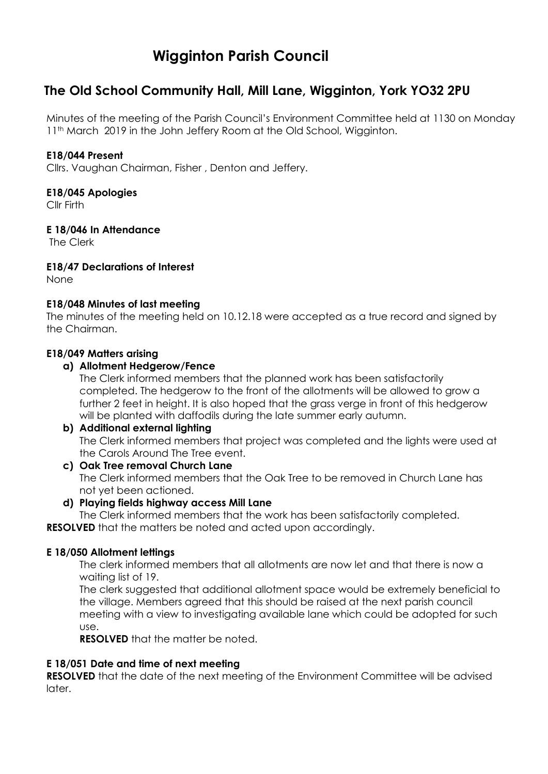# **Wigginton Parish Council**

## **The Old School Community Hall, Mill Lane, Wigginton, York YO32 2PU**

Minutes of the meeting of the Parish Council's Environment Committee held at 1130 on Monday 11<sup>th</sup> March 2019 in the John Jeffery Room at the Old School, Wigginton.

#### **E18/044 Present**

Cllrs. Vaughan Chairman, Fisher , Denton and Jeffery.

#### **E18/045 Apologies**

Cllr Firth

#### **E 18/046 In Attendance**

The Clerk

#### **E18/47 Declarations of Interest**

None

#### **E18/048 Minutes of last meeting**

The minutes of the meeting held on 10.12.18 were accepted as a true record and signed by the Chairman.

#### **E18/049 Matters arising**

#### **a) Allotment Hedgerow/Fence**

The Clerk informed members that the planned work has been satisfactorily completed. The hedgerow to the front of the allotments will be allowed to grow a further 2 feet in height. It is also hoped that the grass verge in front of this hedgerow will be planted with daffodils during the late summer early autumn.

### **b) Additional external lighting** The Clerk informed members that project was completed and the lights were used at the Carols Around The Tree event.

**c) Oak Tree removal Church Lane** The Clerk informed members that the Oak Tree to be removed in Church Lane has not yet been actioned.

#### **d) Playing fields highway access Mill Lane**

The Clerk informed members that the work has been satisfactorily completed. **RESOLVED** that the matters be noted and acted upon accordingly.

#### **E 18/050 Allotment lettings**

The clerk informed members that all allotments are now let and that there is now a waiting list of 19.

The clerk suggested that additional allotment space would be extremely beneficial to the village. Members agreed that this should be raised at the next parish council meeting with a view to investigating available lane which could be adopted for such use.

**RESOLVED** that the matter be noted.

#### **E 18/051 Date and time of next meeting**

**RESOLVED** that the date of the next meeting of the Environment Committee will be advised later.